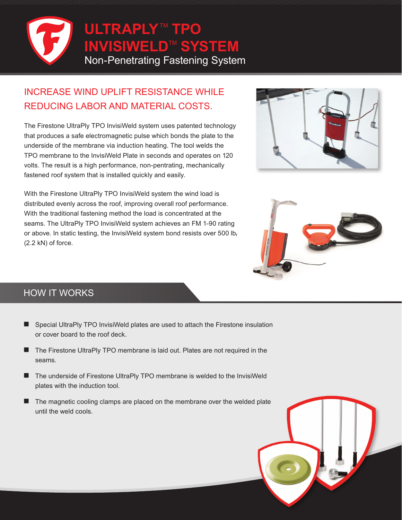

## INCREASE WIND UPLIFT RESISTANCE WHILE REDUCING LABOR AND MATERIAL COSTS.

The Firestone UltraPly TPO InvisiWeld system uses patented technology that produces a safe electromagnetic pulse which bonds the plate to the underside of the membrane via induction heating. The tool welds the TPO membrane to the InvisiWeld Plate in seconds and operates on 120 volts. The result is a high performance, non-pentrating, mechanically fastened roof system that is installed quickly and easily.



With the Firestone UltraPly TPO InvisiWeld system the wind load is distributed evenly across the roof, improving overall roof performance. With the traditional fastening method the load is concentrated at the seams. The UltraPly TPO InvisiWeld system achieves an FM 1-90 rating or above. In static testing, the InvisiWeld system bond resists over 500  $Ib_f$ (2.2 kN) of force.



## HOW IT WORKS

- Special UltraPly TPO InvisiWeld plates are used to attach the Firestone insulation or cover board to the roof deck.
- The Firestone UltraPly TPO membrane is laid out. Plates are not required in the seams.
- The underside of Firestone UltraPly TPO membrane is welded to the InvisiWeld plates with the induction tool.
- The magnetic cooling clamps are placed on the membrane over the welded plate until the weld cools.